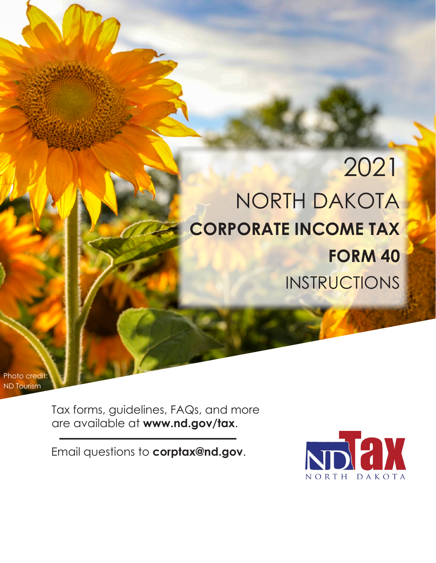# 2021 NORTH DAKOTA **CORPORATE INCOME TAX FORM 40** INSTRUCTIONS

Photo credit: ND Tourism

> Tax forms, guidelines, FAQs, and more are available at **www.nd.gov/tax**.

Email questions to **corptax@nd.gov**.

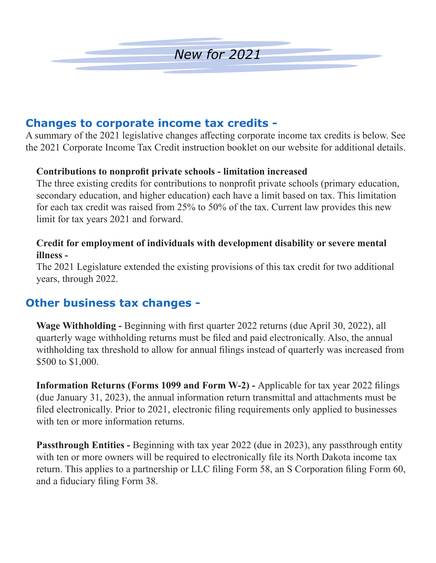

### **Changes to corporate income tax credits -**

A summary of the 2021 legislative changes affecting corporate income tax credits is below. See the 2021 Corporate Income Tax Credit instruction booklet on our website for additional details.

### **Contributions to nonprofit private schools - limitation increased**

The three existing credits for contributions to nonprofit private schools (primary education, secondary education, and higher education) each have a limit based on tax. This limitation for each tax credit was raised from 25% to 50% of the tax. Current law provides this new limit for tax years 2021 and forward.

### **Credit for employment of individuals with development disability or severe mental illness -**

The 2021 Legislature extended the existing provisions of this tax credit for two additional years, through 2022.

### **Other business tax changes -**

**Wage Withholding -** Beginning with first quarter 2022 returns (due April 30, 2022), all quarterly wage withholding returns must be filed and paid electronically. Also, the annual withholding tax threshold to allow for annual filings instead of quarterly was increased from \$500 to \$1,000.

**Information Returns (Forms 1099 and Form W-2) -** Applicable for tax year 2022 filings (due January 31, 2023), the annual information return transmittal and attachments must be filed electronically. Prior to 2021, electronic filing requirements only applied to businesses with ten or more information returns.

**Passthrough Entities - Beginning with tax year 2022 (due in 2023), any passthrough entity** with ten or more owners will be required to electronically file its North Dakota income tax return. This applies to a partnership or LLC filing Form 58, an S Corporation filing Form 60, and a fiduciary filing Form 38.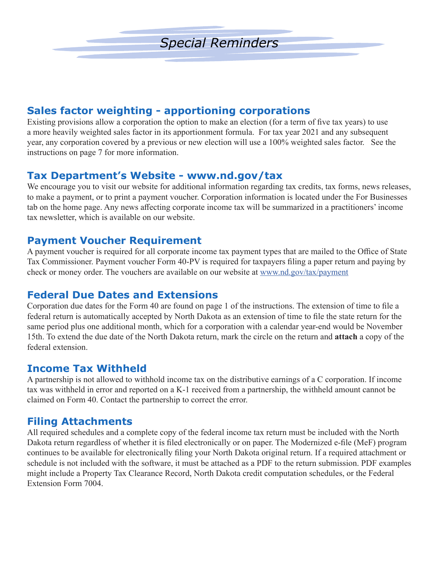

### **Sales factor weighting - apportioning corporations**

Existing provisions allow a corporation the option to make an election (for a term of five tax years) to use a more heavily weighted sales factor in its apportionment formula. For tax year 2021 and any subsequent year, any corporation covered by a previous or new election will use a 100% weighted sales factor. See the instructions on page 7 for more information.

### **Tax Department's Website - www.nd.gov/tax**

We encourage you to visit our website for additional information regarding tax credits, tax forms, news releases, to make a payment, or to print a payment voucher. Corporation information is located under the For Businesses tab on the home page. Any news affecting corporate income tax will be summarized in a practitioners' income tax newsletter, which is available on our website.

### **Payment Voucher Requirement**

A payment voucher is required for all corporate income tax payment types that are mailed to the Office of State Tax Commissioner. Payment voucher Form 40-PV is required for taxpayers filing a paper return and paying by check or money order. The vouchers are available on our website at www.nd.gov/tax/payment

### **Federal Due Dates and Extensions**

Corporation due dates for the Form 40 are found on page 1 of the instructions. The extension of time to file a federal return is automatically accepted by North Dakota as an extension of time to file the state return for the same period plus one additional month, which for a corporation with a calendar year-end would be November 15th. To extend the due date of the North Dakota return, mark the circle on the return and **attach** a copy of the federal extension.

### **Income Tax Withheld**

A partnership is not allowed to withhold income tax on the distributive earnings of a C corporation. If income tax was withheld in error and reported on a K-1 received from a partnership, the withheld amount cannot be claimed on Form 40. Contact the partnership to correct the error.

### **Filing Attachments**

All required schedules and a complete copy of the federal income tax return must be included with the North Dakota return regardless of whether it is filed electronically or on paper. The Modernized e-file (MeF) program continues to be available for electronically filing your North Dakota original return. If a required attachment or schedule is not included with the software, it must be attached as a PDF to the return submission. PDF examples might include a Property Tax Clearance Record, North Dakota credit computation schedules, or the Federal Extension Form 7004.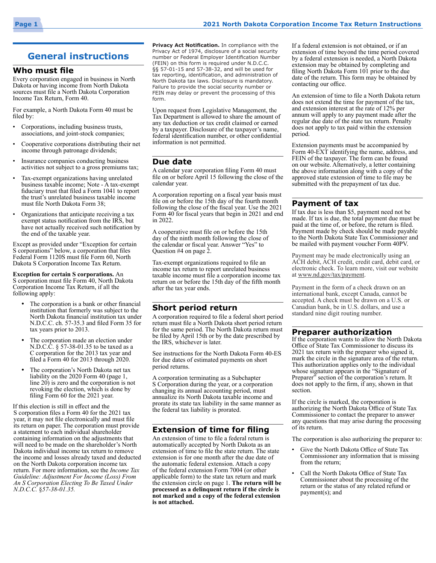### **General instructions**

#### **Who must file**

Every corporation engaged in business in North Dakota or having income from North Dakota sources must file a North Dakota Corporation Income Tax Return, Form 40.

For example, a North Dakota Form 40 must be filed by:

- Corporations, including business trusts, associations, and joint-stock companies;
- Cooperative corporations distributing their net income through patronage dividends;
- Insurance companies conducting business activities not subject to a gross premiums tax;
- Tax-exempt organizations having unrelated business taxable income; Note - A tax-exempt fiduciary trust that filed a Form 1041 to report the trust's unrelated business taxable income must file North Dakota Form 38;
- Organizations that anticipate receiving a tax exempt status notification from the IRS, but have not actually received such notification by the end of the taxable year.

Except as provided under "Exception for certain S corporations" below, a corporation that files Federal Form 1120S must file Form 60, North Dakota S Corporation Income Tax Return.

**Exception for certain S corporations.** An S corporation must file Form 40, North Dakota Corporation Income Tax Return, if all the following apply:

- The corporation is a bank or other financial institution that formerly was subject to the North Dakota financial institution tax under N.D.C.C. ch. 57-35.3 and filed Form 35 for tax years prior to 2013.
- The corporation made an election under N.D.C.C. § 57-38-01.35 to be taxed as a C corporation for the 2013 tax year and filed a Form 40 for 2013 through 2020.
- The corporation's North Dakota net tax liability on the 2020 Form 40 (page 1, line 20) is zero and the corporation is not revoking the election, which is done by filing Form 60 for the 2021 year.

If this election is still in effect and the S corporation files a Form 40 for the 2021 tax year, it may not file electronically and must file its return on paper. The corporation must provide a statement to each individual shareholder containing information on the adjustments that will need to be made on the shareholder's North Dakota individual income tax return to remove the income and losses already taxed and deducted on the North Dakota corporation income tax return. For more information, see the *Income Tax Guideline: Adjustment For Income (Loss) From An S Corporation Electing To Be Taxed Under N.D.C.C.* §*57-38-01.35.*

**Privacy Act Notification.** In compliance with the Privacy Act of 1974, disclosure of a social security number or Federal Employer Identification Number (FEIN) on this form is required under N.D.C.C. §§ 57-01-15 and 57-38-32, and will be used for tax reporting, identification, and administration of North Dakota tax laws. Disclosure is mandatory. Failure to provide the social security number or FEIN may delay or prevent the processing of this form.

Upon request from Legislative Management, the Tax Department is allowed to share the amount of any tax deduction or tax credit claimed or earned by a taxpayer. Disclosure of the taxpayer's name, federal identification number, or other confidential information is not permitted.

#### **Due date**

A calendar year corporation filing Form 40 must file on or before April 15 following the close of the calendar year.

A corporation reporting on a fiscal year basis must file on or before the 15th day of the fourth month following the close of the fiscal year. Use the 2021 Form 40 for fiscal years that begin in 2021 and end in 2022.

A cooperative must file on or before the 15th day of the ninth month following the close of the calendar or fiscal year. Answer "Yes" to Question #4 on page 2.

Tax-exempt organizations required to file an income tax return to report unrelated business taxable income must file a corporation income tax return on or before the 15th day of the fifth month after the tax year ends.

#### **Short period return**

A corporation required to file a federal short period return must file a North Dakota short period return for the same period. The North Dakota return must be filed by April 15th or by the date prescribed by the IRS, whichever is later.

See instructions for the North Dakota Form 40‑ES for due dates of estimated payments on short period returns.

A corporation terminating as a Subchapter S Corporation during the year, or a corporation changing its annual accounting period, must annualize its North Dakota taxable income and prorate its state tax liability in the same manner as the federal tax liability is prorated.

#### **Extension of time for filing**

An extension of time to file a federal return is automatically accepted by North Dakota as an extension of time to file the state return. The state extension is for one month after the due date of the automatic federal extension. Attach a copy of the federal extension Form 7004 (or other applicable form) to the state tax return and mark the extension circle on page 1. **The return will be processed as a delinquent return if the circle is not marked and a copy of the federal extension is not attached.**

If a federal extension is not obtained, or if an extension of time beyond the time period covered by a federal extension is needed, a North Dakota extension may be obtained by completing and filing North Dakota Form 101 prior to the due date of the return. This form may be obtained by contacting our office.

An extension of time to file a North Dakota return does not extend the time for payment of the tax, and extension interest at the rate of 12% per annum will apply to any payment made after the regular due date of the state tax return. Penalty does not apply to tax paid within the extension period.

Extension payments must be accompanied by Form 40‑EXT identifying the name, address, and FEIN of the taxpayer. The form can be found on our website. Alternatively, a letter containing the above information along with a copy of the approved state extension of time to file may be submitted with the prepayment of tax due.

#### **Payment of tax**

If tax due is less than \$5, payment need not be made. If tax is due, the total payment due must be paid at the time of, or before, the return is filed. Payment made by check should be made payable to the North Dakota State Tax Commissioner and be mailed with payment voucher Form 40PV.

Payment may be made electronically using an ACH debit, ACH credit, credit card, debit card, or electronic check. To learn more, visit our website at www.nd.gov/tax/payment.

Payment in the form of a check drawn on an international bank, except Canada, cannot be accepted. A check must be drawn on a U.S. or Canadian bank, be in U.S. dollars, and use a standard nine digit routing number.

#### **Preparer authorization**

If the corporation wants to allow the North Dakota Office of State Tax Commissioner to discuss its 2021 tax return with the preparer who signed it, mark the circle in the signature area of the return. This authorization applies only to the individual whose signature appears in the "Signature of Preparer" section of the corporation's return. It does not apply to the firm, if any, shown in that section.

If the circle is marked, the corporation is authorizing the North Dakota Office of State Tax Commissioner to contact the preparer to answer any questions that may arise during the processing of its return.

The corporation is also authorizing the preparer to:

- Give the North Dakota Office of State Tax Commissioner any information that is missing from the return;
- Call the North Dakota Office of State Tax Commissioner about the processing of the return or the status of any related refund or payment(s); and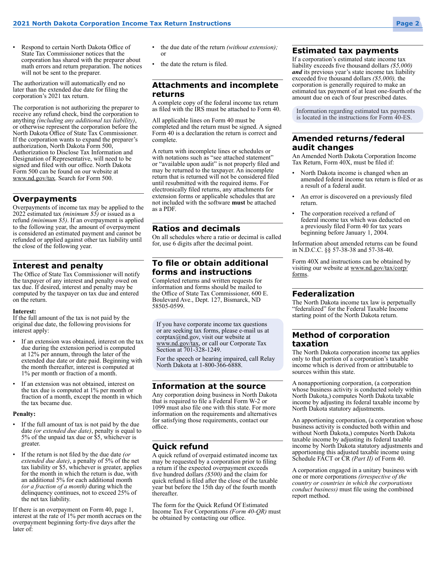• Respond to certain North Dakota Office of State Tax Commissioner notices that the corporation has shared with the preparer about math errors and return preparation. The notices will not be sent to the preparer.

The authorization will automatically end no later than the extended due date for filing the corporation's 2021 tax return.

The corporation is not authorizing the preparer to receive any refund check, bind the corporation to anything *(including any additional tax liability)*, or otherwise represent the corporation before the North Dakota Office of State Tax Commissioner. If the corporation wants to expand the preparer's authorization, North Dakota Form 500, Authorization to Disclose Tax Information and Designation of Representative, will need to be signed and filed with our office. North Dakota Form 500 can be found on our website at www.nd.gov/tax. Search for Form 500.

#### **Overpayments**

Overpayments of income tax may be applied to the 2022 estimated tax *(minimum \$5)* or issued as a refund *(minimum \$5)*. If an overpayment is applied to the following year, the amount of overpayment is considered an estimated payment and cannot be refunded or applied against other tax liability until the close of the following year.

#### **Interest and penalty**

The Office of State Tax Commissioner will notify the taxpayer of any interest and penalty owed on tax due. If desired, interest and penalty may be computed by the taxpayer on tax due and entered on the return.

#### **Interest:**

If the full amount of the tax is not paid by the original due date, the following provisions for interest apply:

- If an extension was obtained, interest on the tax due during the extension period is computed at 12% per annum, through the later of the extended due date or date paid. Beginning with the month thereafter, interest is computed at 1% per month or fraction of a month.
- If an extension was not obtained, interest on the tax due is computed at 1% per month or fraction of a month, except the month in which the tax became due.

#### **Penalty:**

- If the full amount of tax is not paid by the due date *(or extended due date)*, penalty is equal to 5% of the unpaid tax due or \$5, whichever is greater.
- If the return is not filed by the due date *(or extended due date)*, a penalty of 5% of the net tax liability or \$5, whichever is greater, applies for the month in which the return is due, with an additional 5% for each additional month *(or a fraction of a month)* during which the delinquency continues, not to exceed 25% of the net tax liability.

If there is an overpayment on Form 40, page 1, interest at the rate of 1% per month accrues on the overpayment beginning forty-five days after the later of:

- the due date of the return *(without extension);*  or
- the date the return is filed.

#### **Attachments and incomplete returns**

A complete copy of the federal income tax return as filed with the IRS must be attached to Form 40.

All applicable lines on Form 40 must be completed and the return must be signed. A signed Form 40 is a declaration the return is correct and complete.

A return with incomplete lines or schedules or with notations such as "see attached statement" or "available upon audit" is not properly filed and may be returned to the taxpayer. An incomplete return that is returned will not be considered filed until resubmitted with the required items. For electronically filed returns, any attachments for extension forms or applicable schedules that are not included with the software **must** be attached as a PDF.

#### **Ratios and decimals**

On all schedules where a ratio or decimal is called for, use 6 digits after the decimal point.

#### **To file or obtain additional forms and instructions**

Completed returns and written requests for information and forms should be mailed to the Office of State Tax Commissioner, 600 E. Boulevard Ave., Dept. 127, Bismarck, ND 58505‑0599.

If you have corporate income tax questions or are seeking tax forms, please e-mail us at corptax@nd.gov, visit our website at www.nd.gov/tax, or call our Corporate Tax Section at 701-328-1249.

For the speech or hearing impaired, call Relay North Dakota at 1-800-366-6888.

#### **Information at the source**

Any corporation doing business in North Dakota that is required to file a Federal Form W-2 or 1099 must also file one with this state. For more information on the requirements and alternatives for satisfying those requirements, contact our office.

#### **Quick refund**

A quick refund of overpaid estimated income tax may be requested by a corporation prior to filing a return if the expected overpayment exceeds five hundred dollars *(\$500)* and the claim for quick refund is filed after the close of the taxable year but before the 15th day of the fourth month thereafter.

The form for the Quick Refund Of Estimated Income Tax For Corporations *(Form 40-QR)* must be obtained by contacting our office.

#### **Estimated tax payments**

If a corporation's estimated state income tax liability exceeds five thousand dollars *(\$5,000) and* its previous year's state income tax liability exceeded five thousand dollars *(\$5,000),* the corporation is generally required to make an estimated tax payment of at least one-fourth of the amount due on each of four prescribed dates.

Information regarding estimated tax payments is located in the instructions for Form 40-ES.

#### **Amended returns/federal audit changes**

An Amended North Dakota Corporation Income Tax Return, Form 40X, must be filed if:

- North Dakota income is changed when an amended federal income tax return is filed or as a result of a federal audit.
- An error is discovered on a previously filed return.
- The corporation received a refund of federal income tax which was deducted on a previously filed Form 40 for tax years beginning before January 1, 2004.

Information about amended returns can be found in N.D.C.C. §§ 57-38‑38 and 57‑38‑40.

Form 40X and instructions can be obtained by visiting our website at www.nd.gov/tax/corp/ forms.

#### **Federalization**

The North Dakota income tax law is perpetually "federalized" for the Federal Taxable Income starting point of the North Dakota return.

#### **Method of corporation taxation**

The North Dakota corporation income tax applies only to that portion of a corporation's taxable income which is derived from or attributable to sources within this state.

A nonapportioning corporation, (a corporation whose business activity is conducted solely within North Dakota,) computes North Dakota taxable income by adjusting its federal taxable income by North Dakota statutory adjustments.

An apportioning corporation, (a corporation whose business activity is conducted both within and without North Dakota,) computes North Dakota taxable income by adjusting its federal taxable income by North Dakota statutory adjustments and apportioning this adjusted taxable income using Schedule FACT or CR *(Part II)* of Form 40.

A corporation engaged in a unitary business with one or more corporations *(irrespective of the country or countries in which the corporations conduct business)* must file using the combined report method.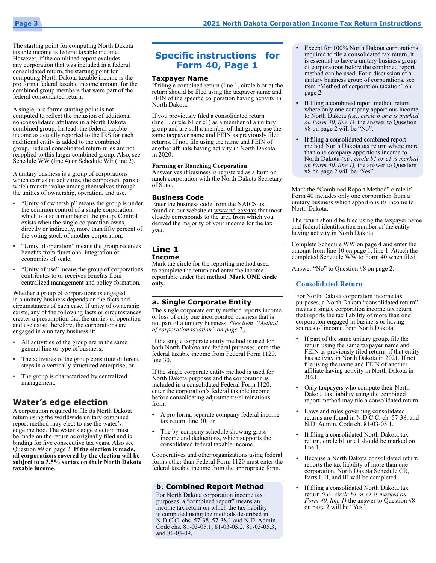

The starting point for computing North Dakota taxable income is federal taxable income. However, if the combined report excludes any corporation that was included in a federal consolidated return, the starting point for computing North Dakota taxable income is the pro forma federal taxable income amount for the combined group members that were part of the federal consolidated return.

A single, pro forma starting point is not computed to reflect the inclusion of additional nonconsolidated affiliates in a North Dakota combined group. Instead, the federal taxable income as actually reported to the IRS for each additional entity is added to the combined group. Federal consolidated return rules are not reapplied to this larger combined group. Also, see Schedule WW (line 4) or Schedule WE (line 2).

A unitary business is a group of corporations which carries on activities, the component parts of which transfer value among themselves through the unities of ownership, operation, and use.

- "Unity of ownership" means the group is under the common control of a single corporation, which is also a member of the group. Control exists when the single corporation owns, directly or indirectly, more than fifty percent of the voting stock of another corporation;
- "Unity of operation" means the group receives benefits from functional integration or economies of scale;
- "Unity of use" means the group of corporations contributes to or receives benefits from centralized management and policy formation.

Whether a group of corporations is engaged in a unitary business depends on the facts and circumstances of each case. If unity of ownership exists, any of the following facts or circumstances creates a presumption that the unities of operation and use exist; therefore, the corporations are engaged in a unitary business if:

- All activities of the group are in the same general line or type of business;
- The activities of the group constitute different steps in a vertically structured enterprise; or
- The group is characterized by centralized management.

#### **Water's edge election**

A corporation required to file its North Dakota return using the worldwide unitary combined report method may elect to use the water's edge method. The water's edge election must be made on the return as originally filed and is binding for five consecutive tax years. Also see Question #9 on page 2. **If the election is made, all corporations covered by the election will be subject to a 3.5% surtax on their North Dakota taxable income.**

### **Specific instructions for Form 40, Page 1**

#### **Taxpayer Name**

If filing a combined return (line 1, circle b or c) the return should be filed using the taxpayer name and FEIN of the specific corporation having activity in North Dakota.

If you previously filed a consolidated return (line 1, circle b1 or c1) as a member of a unitary group and are still a member of that group, use the same taxpayer name and FEIN as previously filed returns. If not, file using the name and FEIN of another affiliate having activity in North Dakota in 2020.

#### **Farming or Ranching Corporation**

Answer yes if business is registered as a farm or ranch corporation with the North Dakota Secretary of State.

#### **Business Code**

Enter the business code from the NAICS list found on our website at www.nd.gov/tax that most closely corresponds to the area from which you derived the majority of your income for the tax year.

### **Line 1**

**Income**

Mark the circle for the reporting method used to complete the return and enter the income reportable under that method. **Mark ONE circle only.**

#### **a. Single Corporate Entity**

The single corporate entity method reports income or loss of only one incorporated business that is not part of a unitary business. *(See item "Method of corporation taxation" on page 2.)*

If the single corporate entity method is used for both North Dakota and federal purposes, enter the federal taxable income from Federal Form 1120, line 30.

If the single corporate entity method is used for North Dakota purposes and the corporation is included in a consolidated Federal Form 1120, enter the corporation's federal taxable income before consolidating adjustments/eliminations from:

- A pro forma separate company federal income tax return, line 30; or
- The by-company schedule showing gross income and deductions, which supports the consolidated federal taxable income.

Cooperatives and other organizations using federal forms other than Federal Form 1120 must enter the federal taxable income from the appropriate form.

#### **b. Combined Report Method**

For North Dakota corporation income tax purposes, a "combined report" means an income tax return on which the tax liability is computed using the methods described in N.D.C.C. chs. 57‑38, 57-38.1 and N.D. Admin. Code chs. 81-03-05.1, 81-03-05.2, 81-03-05.3, and 81‑03-09.

- Except for 100% North Dakota corporations required to file a consolidated tax return, it is essential to have a unitary business group of corporations before the combined report method can be used. For a discussion of a unitary business group of corporations, see item "Method of corporation taxation" on page 2.
- If filing a combined report method return where only one company apportions income to North Dakota *(i.e., circle b or c is marked on Form 40, line 1),* the answer to Question #8 on page 2 will be "No".
- If filing a consolidated combined report method North Dakota tax return where more than one company apportions income to North Dakota *(i.e., circle b1 or c1 is marked on Form 40, line 1),* the answer to Question #8 on page 2 will be "Yes".

Mark the "Combined Report Method" circle if Form 40 includes only one corporation from a unitary business which apportions its income to North Dakota.

The return should be filed using the taxpayer name and federal identification number of the entity having activity in North Dakota.

Complete Schedule WW on page 4 and enter the amount from line 10 on page 1, line 1. Attach the completed Schedule WW to Form 40 when filed.

Answer "No" to Question #8 on page 2.

#### **Consolidated Return**

For North Dakota corporation income tax purposes, a North Dakota "consolidated return" means a single corporation income tax return that reports the tax liability of more than one corporation engaged in business or having sources of income from North Dakota.

- If part of the same unitary group, file the return using the same taxpayer name and FEIN as previously filed returns if that entity has activity in North Dakota in 2021. If not, file using the name and FEIN of another affiliate having activity in North Dakota in 2021.
- Only taxpayers who compute their North Dakota tax liability using the combined report method may file a consolidated return.
- Laws and rules governing consolidated returns are found in N.D.C.C. ch. 57‑38, and N.D. Admin. Code ch. 81‑03‑05.1.
- If filing a consolidated North Dakota tax return, circle b1 or c1 should be marked on line 1.
- Because a North Dakota consolidated return reports the tax liability of more than one corporation, North Dakota Schedule CR, Parts I, II, and III will be completed.
- If filing a consolidated North Dakota tax return *(i.e., circle b1 or c1 is marked on Form 40, line 1)* the answer to Question #8 on page 2 will be "Yes".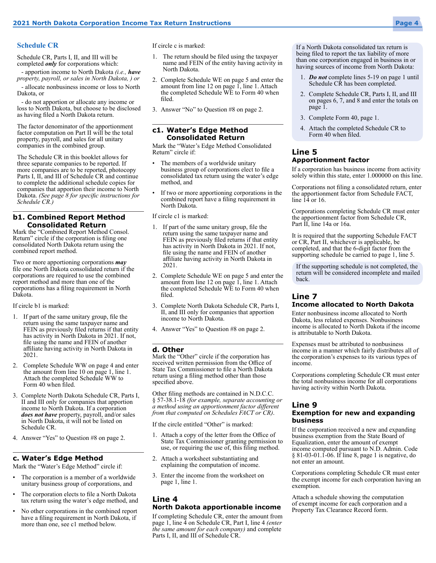#### **Schedule CR**

Schedule CR, Parts I, II, and III will be completed *only* for corporations which:

- apportion income to North Dakota *(i.e., have property, payroll, or sales in North Dakota, ) or*

allocate nonbusiness income or loss to North Dakota, or

- do not apportion or allocate any income or loss to North Dakota, but choose to be disclosed as having filed a North Dakota return.

The factor denominator of the apportionment factor computation on Part II will be the total property, payroll, and sales for all unitary companies in the combined group.

The Schedule CR in this booklet allows for three separate companies to be reported. If more companies are to be reported, photocopy Parts I, II, and III of Schedule CR and continue to complete the additional schedule copies for companies that apportion their income to North Dakota. *(See page 8 for specific instructions for Schedule CR.)*

#### **b1. Combined Report Method Consolidated Return**

Mark the "Combined Report Method Consol. Return" circle if the corporation is filing one consolidated North Dakota return using the combined report method.

Two or more apportioning corporations *may*  file one North Dakota consolidated return if the corporations are required to use the combined report method and more than one of the corporations has a filing requirement in North Dakota.

If circle b1 is marked:

- 1. If part of the same unitary group, file the return using the same taxpayer name and FEIN as previously filed returns if that entity has activity in North Dakota in 2021. If not, file using the name and FEIN of another affiliate having activity in North Dakota in 2021.
- 2. Complete Schedule WW on page 4 and enter the amount from line 10 on page 1, line 1. Attach the completed Schedule WW to Form 40 when filed.
- 3. Complete North Dakota Schedule CR, Parts I, II and III only for companies that apportion income to North Dakota. If a corporation *does not have* property, payroll, and/or sales in North Dakota, it will not be listed on Schedule CR.
- 4. Answer "Yes" to Question #8 on page 2.

#### **c. Water's Edge Method**

Mark the "Water's Edge Method" circle if:

- The corporation is a member of a worldwide unitary business group of corporations, and
- The corporation elects to file a North Dakota tax return using the water's edge method, and
- No other corporations in the combined report have a filing requirement in North Dakota, if more than one, see c1 method below.

If circle c is marked:

- 1. The return should be filed using the taxpayer name and FEIN of the entity having activity in North Dakota.
- 2. Complete Schedule WE on page 5 and enter the amount from line 12 on page 1, line 1. Attach the completed Schedule WE to Form 40 when filed.
- 3. Answer "No" to Question #8 on page 2.

#### **c1. Water's Edge Method Consolidated Return**

Mark the "Water's Edge Method Consolidated Return" circle if:

- The members of a worldwide unitary business group of corporations elect to file a consolidated tax return using the water's edge method, and
- If two or more apportioning corporations in the combined report have a filing requirement in North Dakota.

If circle c1 is marked:

- 1. If part of the same unitary group, file the return using the same taxpayer name and FEIN as previously filed returns if that entity has activity in North Dakota in 2021. If not, file using the name and FEIN of another affiliate having activity in North Dakota in 2021.
- 2. Complete Schedule WE on page 5 and enter the amount from line 12 on page 1, line 1. Attach the completed Schedule WE to Form 40 when filed.
- 3. Complete North Dakota Schedule CR, Parts I, II, and III only for companies that apportion income to North Dakota.
- 4. Answer "Yes" to Question #8 on page 2.

#### **d. Other**

Mark the "Other" circle if the corporation has received written permission from the Office of State Tax Commissioner to file a North Dakota return using a filing method other than those specified above.

Other filing methods are contained in N.D.C.C. § 57-38.1-18 *(for example, separate accounting or a method using an apportionment factor different from that computed on Schedules FACT or CR)*.

If the circle entitled "Other" is marked:

- 1. Attach a copy of the letter from the Office of State Tax Commissioner granting permission to use, or requiring the use of, this filing method.
- 2. Attach a worksheet substantiating and explaining the computation of income.
- 3. Enter the income from the worksheet on page 1, line 1.

#### **Line 4 North Dakota apportionable income**

If completing Schedule CR, enter the amount from page 1, line 4 on Schedule CR, Part I, line 4 (enter *the same amount for each company)* and complete Parts I, II, and III of Schedule CR.

If a North Dakota consolidated tax return is being filed to report the tax liability of more than one corporation engaged in business in or having sources of income from North Dakota:

- 1. *Do not* complete lines 5-19 on page 1 until Schedule CR has been completed.
- 2. Complete Schedule CR, Parts I, II, and III on pages 6, 7, and 8 and enter the totals on page 1.
- 3. Complete Form 40, page 1.
- 4. Attach the completed Schedule CR to Form 40 when filed.

#### **Line 5 Apportionment factor**

If a corporation has business income from activity solely within this state, enter 1.000000 on this line.

Corporations not filing a consolidated return, enter the apportionment factor from Schedule FACT, line 14 or 16.

Corporations completing Schedule CR must enter the apportionment factor from Schedule CR, Part II, line 14a or 16a.

It is required that the supporting Schedule FACT or CR, Part II, whichever is applicable, be completed, and that the 6-digit factor from the supporting schedule be carried to page 1, line 5.

If the supporting schedule is not completed, the return will be considered incomplete and mailed back.

#### **Line 7 Income allocated to North Dakota**

Enter nonbusiness income allocated to North Dakota, less related expenses. Nonbusiness income is allocated to North Dakota if the income is attributable to North Dakota.

Expenses must be attributed to nonbusiness income in a manner which fairly distributes all of the corporation's expenses to its various types of income.

Corporations completing Schedule CR must enter the total nonbusiness income for all corporations having activity within North Dakota.

#### **Line 9**

#### **Exemption for new and expanding business**

If the corporation received a new and expanding business exemption from the State Board of Equalization, enter the amount of exempt income computed pursuant to N.D. Admin. Code § 81‑03‑01.1-06. If line 8, page 1 is negative, do not enter an amount.

Corporations completing Schedule CR must enter the exempt income for each corporation having an exemption.

Attach a schedule showing the computation of exempt income for each corporation and a Property Tax Clearance Record form.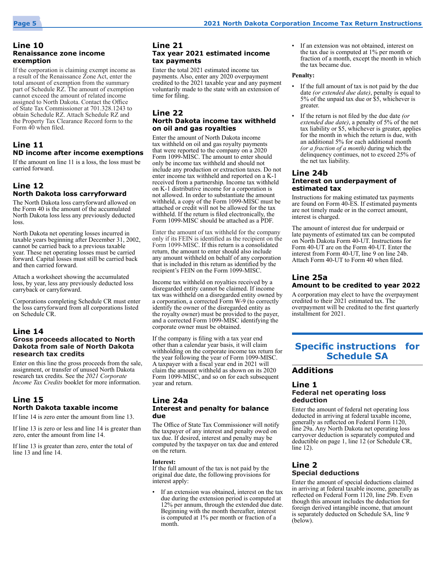#### **Line 10 Renaissance zone income exemption**

If the corporation is claiming exempt income as a result of the Renaissance Zone Act, enter the total amount of exemption from the summary part of Schedule RZ. The amount of exemption cannot exceed the amount of related income assigned to North Dakota. Contact the Office of State Tax Commissioner at 701.328.1243 to obtain Schedule RZ. Attach Schedule RZ and the Property Tax Clearance Record form to the Form 40 when filed.

#### **Line 11 ND income after income exemptions**

If the amount on line 11 is a loss, the loss must be carried forward.

#### **Line 12 North Dakota loss carryforward**

The North Dakota loss carryforward allowed on the Form 40 is the amount of the accumulated North Dakota loss less any previously deducted loss.

North Dakota net operating losses incurred in taxable years beginning after December 31, 2002, cannot be carried back to a previous taxable year. These net operating losses must be carried forward. Capital losses must still be carried back and then carried forward.

Attach a worksheet showing the accumulated loss, by year, less any previously deducted loss carryback or carryforward.

Corporations completing Schedule CR must enter the loss carryforward from all corporations listed on Schedule CR.

#### **Line 14 Gross proceeds allocated to North Dakota from sale of North Dakota research tax credits**

Enter on this line the gross proceeds from the sale, assignment, or transfer of unused North Dakota research tax credits. See the *2021 Corporate Income Tax Credits* booklet for more information.

#### **Line 15 North Dakota taxable income**

If line 14 is zero enter the amount from line 13.

If line 13 is zero or less and line 14 is greater than zero, enter the amount from line 14.

If line 13 is greater than zero, enter the total of line 13 and line 14.

#### **Line 21 Tax year 2021 estimated income tax payments**

Enter the total 2021 estimated income tax payments. Also, enter any 2020 overpayment credited to the 2021 taxable year and any payment voluntarily made to the state with an extension of time for filing.

#### **Line 22 North Dakota income tax withheld on oil and gas royalties**

Enter the amount of North Dakota income tax withheld on oil and gas royalty payments that were reported to the company on a 2020 Form 1099‑MISC. The amount to enter should only be income tax withheld and should not include any production or extraction taxes. Do not enter income tax withheld and reported on a K-1 received from a partnership. Income tax withheld on K-1 distributive income for a corporation is not allowed. In order to substantiate the amount withheld, a copy of the Form 1099-MISC must be attached or credit will not be allowed for the tax withheld. If the return is filed electronically, the Form 1099-MISC should be attached as a PDF.

Enter the amount of tax withheld for the company only if its FEIN is identified as the recipient on the Form 1099-MISC. If this return is a consolidated return, the amount to enter should also include any amount withheld on behalf of any corporation that is included in this return as identified by the recipient's FEIN on the Form 1099-MISC.

Income tax withheld on royalties received by a disregarded entity cannot be claimed. If income tax was withheld on a disregarded entity owned by a corporation, a corrected Form W-9 (to correctly identify the owner of the disregarded entity as the royalty owner) must be provided to the payer, and a corrected Form 1099-MISC identifying the corporate owner must be obtained.

If the company is filing with a tax year end other than a calendar year basis, it will claim withholding on the corporate income tax return for the year following the year of Form 1099-MISC. A taxpayer with a fiscal year end in 2021 will claim the amount withheld as shown on its 2020 Form 1099-MISC, and so on for each subsequent year and return.

#### **Line 24a Interest and penalty for balance due**

The Office of State Tax Commissioner will notify the taxpayer of any interest and penalty owed on tax due. If desired, interest and penalty may be computed by the taxpayer on tax due and entered on the return.

**Interest:**

If the full amount of the tax is not paid by the original due date, the following provisions for interest apply:

If an extension was obtained, interest on the tax due during the extension period is computed at 12% per annum, through the extended due date. Beginning with the month thereafter, interest is computed at 1% per month or fraction of a month.

• If an extension was not obtained, interest on the tax due is computed at 1% per month or fraction of a month, except the month in which the tax became due.

#### **Penalty:**

- If the full amount of tax is not paid by the due date *(or extended due date)*, penalty is equal to 5% of the unpaid tax due or \$5, whichever is greater.
- If the return is not filed by the due date *(or extended due date)*, a penalty of 5% of the net tax liability or \$5, whichever is greater, applies for the month in which the return is due, with an additional 5% for each additional month *(or a fraction of a month)* during which the delinquency continues, not to exceed 25% of the net tax liability.

#### **Line 24b Interest on underpayment of estimated tax**

Instructions for making estimated tax payments are found on Form 40-ES. If estimated payments are not timely made or in the correct amount, interest is charged.

The amount of interest due for underpaid or late payments of estimated tax can be computed on North Dakota Form 40-UT. Instructions for Form 40-UT are on the Form 40-UT. Enter the interest from Form 40-UT, line 9 on line 24b. Attach Form 40-UT to Form 40 when filed.

#### **Line 25a Amount to be credited to year 2022**

A corporation may elect to have the overpayment credited to their 2021 estimated tax. The overpayment will be credited to the first quarterly installment for 2021.

### **Specific instructions for Schedule SA**

#### **Additions**

#### **Line 1 Federal net operating loss deduction**

Enter the amount of federal net operating loss deducted in arriving at federal taxable income, generally as reflected on Federal Form 1120, line 29a. Any North Dakota net operating loss carryover deduction is separately computed and deductible on page 1, line 12 (or Schedule CR, line 12).

#### **Line 2 Special deductions**

Enter the amount of special deductions claimed in arriving at federal taxable income, generally as reflected on Federal Form 1120, line 29b. Even though this amount includes the deduction for foreign derived intangible income, that amount is separately deducted on Schedule SA, line 9 (below).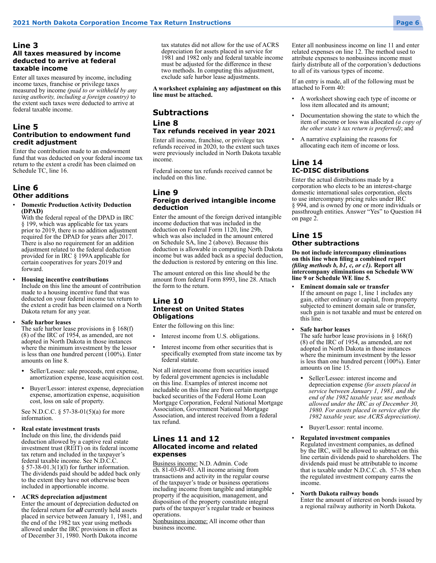#### **Line 3 All taxes measured by income deducted to arrive at federal taxable income**

Enter all taxes measured by income, including income taxes, franchise or privilege taxes measured by income *(paid to or withheld by any taxing authority, including a foreign country)* to the extent such taxes were deducted to arrive at federal taxable income.

#### **Line 5 Contribution to endowment fund credit adjustment**

Enter the contribution made to an endowment fund that was deducted on your federal income tax return to the extent a credit has been claimed on Schedule TC, line 16.

#### **Line 6 Other additions**

#### • **Domestic Production Activity Deduction (DPAD)**

With the federal repeal of the DPAD in IRC § 199, which was applicable for tax years prior to 2019, there is no addition adjustment required for the DPAD for years after 2017. There is also no requirement for an addition adjustment related to the federal deduction provided for in IRC § 199A applicable for certain cooperatives for years 2019 and forward.

#### • **Housing incentive contributions**

Include on this line the amount of contribution made to a housing incentive fund that was deducted on your federal income tax return to the extent a credit has been claimed on a North Dakota return for any year.

#### • **Safe harbor leases**

The safe harbor lease provisions in  $\S 168(f)$ (8) of the IRC of 1954, as amended, are not adopted in North Dakota in those instances where the minimum investment by the lessor is less than one hundred percent  $(100\%)$ . Enter amounts on line 8.

- Seller/Lessee: sale proceeds, rent expense, amortization expense, lease acquisition cost.
- Buyer/Lessor: interest expense, depreciation expense, amortization expense, acquisition cost, loss on sale of property.

See N.D.C.C. § 57-38-01(5)(a) for more information.

#### • **Real estate investment trusts**

Include on this line, the dividends paid deduction allowed by a captive real estate investment trust (REIT) on its federal income tax return and included in the taxpayer's federal taxable income. See N.D.C.C. § 57‑38-01.3(1)(l) for further information. The dividends paid should be added back only to the extent they have not otherwise been included in apportionable income.

#### • **ACRS depreciation adjustment**

Enter the amount of depreciation deducted on the federal return for *all* currently held assets placed in service between January 1, 1981, and the end of the 1982 tax year using methods allowed under the IRC provisions in effect as of December 31, 1980. North Dakota income

tax statutes did not allow for the use of ACRS depreciation for assets placed in service for 1981 and 1982 only and federal taxable income must be adjusted for the difference in these two methods. In computing this adjustment, exclude safe harbor lease adjustments.

**A worksheet explaining any adjustment on this line must be attached.**

### **Subtractions**

### **Line 8 Tax refunds received in year 2021**

Enter all income, franchise, or privilege tax refunds received in 2020, to the extent such taxes were previously included in North Dakota taxable income.

Federal income tax refunds received cannot be included on this line.

#### **Line 9 Foreign derived intangible income deduction**

Enter the amount of the foreign derived intangible income deduction that was included in the deduction on Federal Form 1120, line 29b, which was also included in the amount entered on Schedule SA, line 2 (above). Because this deduction is allowable in computing North Dakota income but was added back as a special deduction, the deduction is restored by entering on this line.

The amount entered on this line should be the amount from federal Form 8993, line 28. Attach the form to the return.

#### **Line 10 Interest on United States Obligations**

Enter the following on this line:

- Interest income from U.S. obligations.
- Interest income from other securities that is specifically exempted from state income tax by federal statute.

Not all interest income from securities issued by federal government agencies is includable on this line. Examples of interest income not includable on this line are from certain mortgage backed securities of the Federal Home Loan Mortgage Corporation, Federal National Mortgage Association, Government National Mortgage Association, and interest received from a federal tax refund.

#### **Lines 11 and 12 Allocated income and related expenses**

Business income: N.D. Admin. Code ch. 81-03-09-03. All income arising from transactions and activity in the regular course of the taxpayer's trade or business operations including income from tangible and intangible property if the acquisition, management, and disposition of the property constitute integral parts of the taxpayer's regular trade or business operations.

Nonbusiness income: All income other than business income.

Enter all nonbusiness income on line 11 and enter related expenses on line 12. The method used to attribute expenses to nonbusiness income must fairly distribute all of the corporation's deductions to all of its various types of income.

If an entry is made, all of the following must be attached to Form 40:

- A worksheet showing each type of income or loss item allocated and its amount;
- Documentation showing the state to which the item of income or loss was allocated *(a copy of the other state's tax return is preferred)*; and
- A narrative explaining the reasons for allocating each item of income or loss.

#### **Line 14 IC-DISC distributions**

Enter the actual distributions made by a corporation who elects to be an interest-charge domestic international sales corporation, elects to use intercompany pricing rules under IRC § 994, and is owned by one or more individuals or passthrough entities. Answer "Yes" to Question #4 on page 2.

#### **Line 15 Other subtractions**

**Do not include intercompany eliminations on this line when filing a combined report**  *(filing methods b, b1, c, or c1).* **Report all intercompany eliminations on Schedule WW line 9 or Schedule WE line 5.**

• **Eminent domain sale or transfer** If the amount on page 1, line 1 includes any gain, either ordinary or capital, from property subjected to eminent domain sale or transfer, such gain is not taxable and must be entered on this line.

• **Safe harbor leases**

The safe harbor lease provisions in  $\S 168(f)$  $(8)$  of the IRC of 1954, as amended, are not adopted in North Dakota in those instances where the minimum investment by the lessor is less than one hundred percent (100%). Enter amounts on line 15.

- Seller/Lessee: interest income and depreciation expense *(for assets placed in service between January 1, 1981, and the end of the 1982 taxable year, use methods allowed under the IRC as of December 30, 1980. For assets placed in service after the 1982 taxable year, use ACRS depreciation)*.
- Buyer/Lessor: rental income.

#### • **Regulated investment companies**

Regulated investment companies, as defined by the IRC, will be allowed to subtract on this line certain dividends paid to shareholders. The dividends paid must be attributable to income that is taxable under N.D.C.C. ch.  57-38 when the regulated investment company earns the income.

#### • **North Dakota railway bonds**

Enter the amount of interest on bonds issued by a regional railway authority in North Dakota.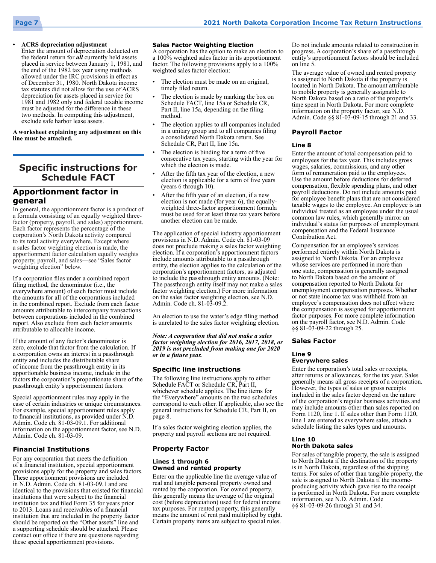

#### • **ACRS depreciation adjustment**

Enter the amount of depreciation deducted on the federal return for *all* currently held assets placed in service between January 1, 1981, and the end of the 1982 tax year using methods allowed under the IRC provisions in effect as of December 31, 1980. North Dakota income tax statutes did not allow for the use of ACRS depreciation for assets placed in service for 1981 and 1982 only and federal taxable income must be adjusted for the difference in these two methods. In computing this adjustment, exclude safe harbor lease assets.

#### **A worksheet explaining any adjustment on this line must be attached.**

### **Specific instructions for Schedule FACT**

#### **Apportionment factor in general**

In general, the apportionment factor is a product of a formula consisting of an equally weighted threefactor (property, payroll, and sales) apportionment. Each factor represents the percentage of the corporation's North Dakota activity compared to its total activity everywhere. Except where a sales factor weighting election is made, the apportionment factor calculation equally weights property, payroll, and sales—see "Sales factor weighting election" below.

If a corporation files under a combined report filing method, the denominator (i.e., the everywhere amount) of each factor must include the amounts for all of the corporations included in the combined report. Exclude from each factor amounts attributable to intercompany transactions between corporations included in the combined report. Also exclude from each factor amounts attributable to allocable income.

If the amount of any factor's denominator is zero, exclude that factor from the calculation. If a corporation owns an interest in a passthrough entity and includes the distributable share of income from the passthrough entity in its apportionable business income, include in the factors the corporation's proportionate share of the passthrough entity's apportionment factors.

Special apportionment rules may apply in the case of certain industries or unique circumstances. For example, special apportionment rules apply to financial institutions, as provided under N.D. Admin. Code ch. 81-03-09.1. For additional information on the apportionment factor, see N.D. Admin. Code ch. 81-03-09.

#### **Financial Institutions**

For any corporation that meets the definition of a financial institution, special apportionment provisions apply for the property and sales factors. These apportionment provisions are included in N.D. Admin. Code ch. 81-03-09.1 and are identical to the provisions that existed for financial institutions that were subject to the financial institution tax and filed Form 35 for years prior to 2013. Loans and receivables of a financial institution that are included in the property factor should be reported on the "Other assets" line and a supporting schedule should be attached. Please contact our office if there are questions regarding these special apportionment provisions.

#### **Sales Factor Weighting Election**

A corporation has the option to make an election to a 100% weighted sales factor in its apportionment factor. The following provisions apply to a 100% weighted sales factor election:

- The election must be made on an original, timely filed return.
- The election is made by marking the box on Schedule FACT, line 15a or Schedule CR, Part II, line 15a, depending on the filing method.
- The election applies to all companies included in a unitary group and to all companies filing a consolidated North Dakota return. See Schedule CR, Part II, line 15a.
- The election is binding for a term of five consecutive tax years, starting with the year for which the election is made.
- After the fifth tax year of the election, a new election is applicable for a term of five years (years 6 through 10).
- After the fifth year of an election, if a new election is not made (for year 6), the equallyweighted three-factor apportionment formula must be used for at least three tax years before another election can be made.

The application of special industry apportionment provisions in N.D. Admin. Code ch. 81-03-09 does not preclude making a sales factor weighting election. If a corporation's apportionment factors include amounts attributable to a passthrough entity, the election applies to the calculation of the corporation's apportionment factors, as adjusted to include the passthrough entity amounts. (Note: The passthrough entity itself may not make a sales factor weighting election.) For more information on the sales factor weighting election, see N.D. Admin. Code ch. 81-03-09.2.

An election to use the water's edge filing method is unrelated to the sales factor weighting election.

*Note: A corporation that did not make a sales factor weighting election for 2016, 2017, 2018, or 2019 is not precluded from making one for 2020 or in a future year.*

#### **Specific line instructions**

The following line instructions apply to either Schedule FACT or Schedule CR, Part II, whichever schedule applies. The line items for the "Everywhere" amounts on the two schedules correspond to each other. If applicable, also see the general instructions for Schedule CR, Part II, on page 8.

If a sales factor weighting election applies, the property and payroll sections are not required.

#### **Property Factor**

#### **Lines 1 through 6 Owned and rented property**

Enter on the applicable line the average value of real and tangible personal property owned and rented by the corporation. For owned property, this generally means the average of the original cost (before depreciation) used for federal income tax purposes. For rented property, this generally means the amount of rent paid multiplied by eight. Certain property items are subject to special rules.

Do not include amounts related to construction in progress. A corporation's share of a passthrough entity's apportionment factors should be included on line 5.

The average value of owned and rented property is assigned to North Dakota if the property is located in North Dakota. The amount attributable to mobile property is generally assignable to North Dakota based on a ratio of the property's time spent in North Dakota. For more complete information on the property factor, see N.D. Admin. Code §§ 81-03-09-15 through 21 and 33.

#### **Payroll Factor**

#### **Line 8**

Enter the amount of total compensation paid to employees for the tax year. This includes gross wages, salaries, commissions, and any other form of remuneration paid to the employees. Use the amount before deductions for deferred compensation, flexible spending plans, and other payroll deductions. Do not include amounts paid for employee benefit plans that are not considered taxable wages to the employee. An employee is an individual treated as an employee under the usual common law rules, which generally mirror an individual's status for purposes of unemployment compensation and the Federal Insurance Contribution Act.

Compensation for an employee's services performed entirely within North Dakota is assigned to North Dakota. For an employee whose services are performed in more than one state, compensation is generally assigned to North Dakota based on the amount of compensation reported to North Dakota for unemployment compensation purposes. Whether or not state income tax was withheld from an employee's compensation does not affect where the compensation is assigned for apportionment factor purposes. For more complete information on the payroll factor, see N.D. Admin. Code §§ 81‑03‑09‑22 through 25.

#### **Sales Factor**

#### **Line 9**

#### **Everywhere sales**

Enter the corporation's total sales or receipts, after returns or allowances, for the tax year. Sales generally means all gross receipts of a corporation. However, the types of sales or gross receipts included in the sales factor depend on the nature of the corporation's regular business activities and may include amounts other than sales reported on Form 1120, line 1. If sales other than Form 1120, line 1 are entered as everywhere sales, attach a schedule listing the sales types and amounts.

#### **Line 10 North Dakota sales**

For sales of tangible property, the sale is assigned to North Dakota if the destination of the property is in North Dakota, regardless of the shipping terms. For sales of other than tangible property, the sale is assigned to North Dakota if the incomeproducing activity which gave rise to the receipt is performed in North Dakota. For more complete information, see N.D. Admin. Code §§ 81-03-09-26 through 31 and 34.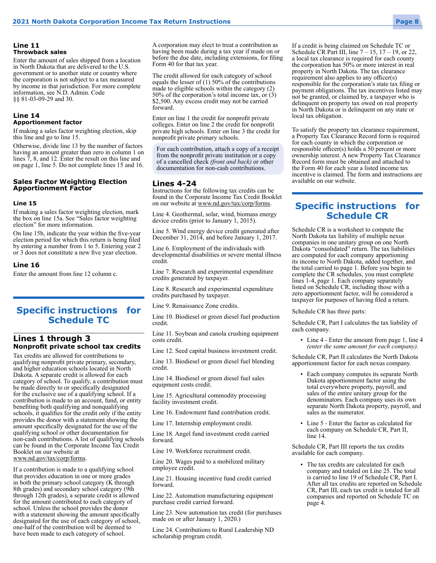#### **Line 11 Throwback sales**

Enter the amount of sales shipped from a location in North Dakota that are delivered to the U.S. government or to another state or country where the corporation is not subject to a tax measured by income in that jurisdiction. For more complete information, see N.D. Admin. Code §§ 81-03-09-29 and 30.

#### **Line 14 Apportionment factor**

If making a sales factor weighting election, skip this line and go to line 15.

Otherwise, divide line 13 by the number of factors having an amount greater than zero in column 1 on lines 7, 8, and 12. Enter the result on this line and on page 1, line 5. Do not complete lines 15 and 16.

#### **Sales Factor Weighting Election Apportionment Factor**

#### **Line 15**

If making a sales factor weighting election, mark the box on line 15a. See "Sales factor weighting election" for more information.

On line 15b, indicate the year within the five-year election period for which this return is being filed by entering a number from 1 to 5. Entering year 2 or 3 does not constitute a new five year election.

#### **Line 16**

Enter the amount from line 12 column c.

### **Specific instructions for Schedule TC**

#### **Lines 1 through 3 Nonprofit private school tax credits**

Tax credits are allowed for contributions to qualifying nonprofit private primary, secondary, and higher education schools located in North Dakota. A separate credit is allowed for each category of school. To qualify, a contribution must be made directly to or specifically designated for the exclusive use of a qualifying school. If a contribution is made to an account, fund, or entity benefiting both qualifying and nonqualifying schools, it qualifies for the credit only if the entity provides the donor with a statement showing the amount specifically designated for the use of the qualifying school or other documentation for non-cash contributions. A list of qualifying schools can be found in the Corporate Income Tax Credit Booklet on our website at www.nd.gov/tax/corp/forms.

If a contribution is made to a qualifying school that provides education in one or more grades in both the primary school category (K through 8th grades) and secondary school category (9th through 12th grades), a separate credit is allowed for the amount contributed to each category of school. Unless the school provides the donor with a statement showing the amount specifically designated for the use of each category of school, one-half of the contribution will be deemed to have been made to each category of school.

A corporation may elect to treat a contribution as having been made during a tax year if made on or before the due date, including extensions, for filing Form 40 for that tax year.

The credit allowed for each category of school equals the lesser of (1) 50% of the contributions made to eligible schools within the category (2) 50% of the corporation's total income tax, or (3) \$2,500. Any excess credit may not be carried forward.

Enter on line 1 the credit for nonprofit private colleges. Enter on line 2 the credit for nonprofit private high schools. Enter on line 3 the credit for nonprofit private primary schools.

For each contribution, attach a copy of a receipt from the nonprofit private institution or a copy of a cancelled check *(front and back)* or other documentation for non-cash contributions.

#### **Lines 4-24**

Instructions for the following tax credits can be found in the Corporate Income Tax Credit Booklet on our website at www.nd.gov/tax/corp/forms.

Line 4. Geothermal, solar, wind, biomass energy device credits (prior to January 1, 2015).

Line 5. Wind energy device credit generated after December 31, 2014, and before January 1, 2017.

Line 6. Employment of the individuals with developmental disabilities or severe mental illness credit.

Line 7. Research and experimental expenditure credits generated by taxpayer.

Line 8. Research and experimental expenditure credits purchased by taxpayer.

Line 9. Renaissance Zone credits.

Line 10. Biodiesel or green diesel fuel production credit.

Line 11. Soybean and canola crushing equipment costs credit.

Line 12. Seed capital business investment credit.

Line 13. Biodiesel or green diesel fuel blending credit.

Line 14. Biodiesel or green diesel fuel sales equipment costs credit.

Line 15. Agricultural commodity processing facility investment credit.

Line 16. Endowment fund contribution credit.

Line 17. Internship employment credit.

Line 18. Angel fund investment credit carried forward.

Line 19. Workforce recruitment credit.

Line 20. Wages paid to a mobilized military employee credit.

Line 21. Housing incentive fund credit carried forward.

Line 22. Automation manufacturing equipment purchase credit carried forward.

Line 23. New automation tax credit (for purchases made on or after January 1, 2020.)

Line 24. Contributions to Rural Leadership ND scholarship program credit.

If a credit is being claimed on Schedule TC or Schedule CR Part III, line  $7 - 15$ ,  $17 - 19$ , or 22, a local tax clearance is required for each county the corporation has 50% or more interest in real property in North Dakota. The tax clearance requirement also applies to any officer(s) responsible for the corporation's state tax filing or payment obligations. The tax incentives listed may not be granted, or claimed by, a taxpayer who is delinquent on property tax owed on real property in North Dakota or is delinquent on any state or local tax obligation.

To satisfy the property tax clearance requirement, a Property Tax Clearance Record form is required for each county in which the corporation or responsible officer(s) holds a  $50$  percent or more ownership interest. A new Property Tax Clearance Record form must be obtained and attached to the Form 40 for each year a listed income tax incentive is claimed. The form and instructions are available on our website.

### **Specific instructions for Schedule CR**

Schedule CR is a worksheet to compute the North Dakota tax liability of multiple nexus companies in one unitary group on one North Dakota "consolidated" return. The tax liabilities are computed for each company apportioning its income to North Dakota, added together, and the total carried to page 1. Before you begin to complete the CR schedules, you must complete lines 1-4, page 1. Each company separately listed on Schedule CR, including those with a zero apportionment factor, will be considered a taxpayer for purposes of having filed a return.

Schedule CR has three parts:

Schedule CR, Part I calculates the tax liability of each company.

• Line 4 - Enter the amount from page 1, line 4 *(enter the same amount for each company).*

Schedule CR, Part II calculates the North Dakota apportionment factor for each nexus company.

- Each company computes its separate North Dakota apportionment factor using the total everywhere property, payroll, and sales of the entire unitary group for the denominators. Each company uses its own separate North Dakota property, payroll, and sales as the numerator.
- Line 5 Enter the factor as calculated for each company on Schedule CR, Part II, line 14.

Schedule CR, Part III reports the tax credits available for each company.

• The tax credits are calculated for each company and totaled on Line 25. The total is carried to line 19 of Schedule CR, Part I. After all tax credits are reported on Schedule CR, Part III, each tax credit is totaled for all companies and reported on Schedule TC on page 4.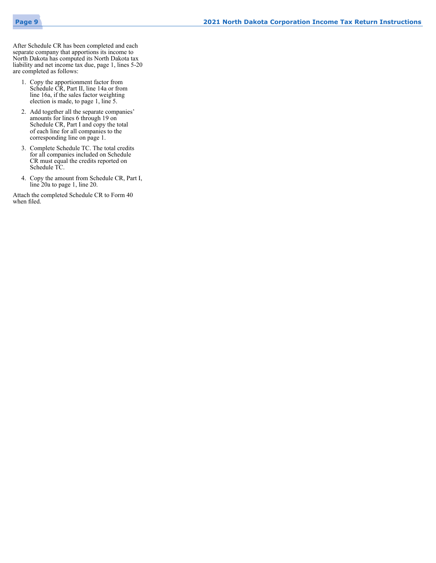

After Schedule CR has been completed and each separate company that apportions its income to North Dakota has computed its North Dakota tax liability and net income tax due, page 1, lines 5-20 are completed as follows:

- 1. Copy the apportionment factor from Schedule CR, Part II, line 14a or from line 16a, if the sales factor weighting election is made, to page 1, line 5.
- 2. Add together all the separate companies' amounts for lines 6 through 19 on Schedule CR, Part I and copy the total of each line for all companies to the corresponding line on page 1.
- 3. Complete Schedule TC. The total credits for all companies included on Schedule CR must equal the credits reported on Schedule TC.
- 4. Copy the amount from Schedule CR, Part I, line 20a to page 1, line 20.

Attach the completed Schedule CR to Form 40 when filed.